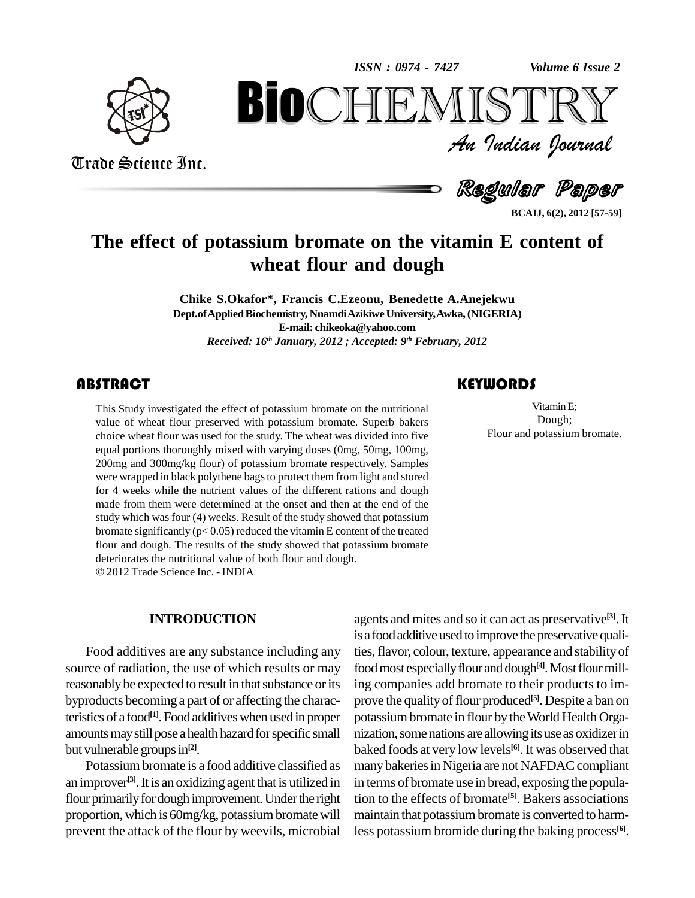*Volume 6 Issue 2*



Trade Science Inc.

Trade Science Inc.

An Indian Journal<br>Regular Paper *Volume* 6 Issue 2<br> $\begin{array}{c} \text{Volume of } \text{I} \\ \text{S} \\ \text{J} \\ \text{J} \end{array}$ **BIOCHEMISTRY**<br>An Indian Journal<br>Regular Paper<br>assium bromate on the vitamin E content of<br>wheat flour and dough

**BCAIJ, 6(2), 2012 [57-59]**

# **The effect of potassium bromate on the vitamin E content of wheat flour and dough**

**Chike S.Okafor\*, Francis C.Ezeonu, Benedette A.Anejekwu Dept.ofAppliedBiochemistry, NnamdiAzikiweUniversity,Awka,(NIGERIA) E-mail: [chikeoka@yahoo.com](mailto:chikeoka@yahoo.com)** *Received: 16 th January, 2012 ; Accepted: 9 th February, 2012*

This Study investigated the effect of potassium bromate on the nutritional<br>value of wheat flour preserved with potassium bromate. Superb bakers<br>choice wheat flour was used for the study. The wheat was divided into five This Study investigated the effect of potassium bromate on the nutritional value of wheat flour preserved with potassium bromate. Superb bakers equal portions thoroughly mixed with varying doses (0mg, 50mg, 100mg, 200mg and 300mg/kg flour) of potassium bromate respectively. Samples were wrapped in black polythene bagsto protect them from light and stored for 4 weeks while the nutrient values of the different rations and dough made from them were determined at the onset and then at the end of the study which was four (4) weeks. Result of the study showed that potassium bromate significantly ( $p < 0.05$ ) reduced the vitamin E content of the treated flour and dough. The results of the study showed that potassium bromate deteriorates the nutritional value of both flour and dough. 2012Trade Science Inc. - INDIA

#### **INTRODUCTION**

Food additives are any substance including any source of radiation, the use of which results or may reasonably be expected to result in that substance or its byproducts becoming a part of or affecting the characteristics of a food<sup>[1]</sup>. Food additives when used in proper pota amounts may still pose a health hazard for specific small but vulnerable groups in<sup>[2]</sup>.

Potassium bromate is a food additive classified as an improver<sup>[3]</sup>. It is an oxidizing agent that is utilized in in term flour primarily for dough improvement. Under the right proportion, which is 60mg/kg, potassium bromate will prevent the attack of the flour by weevils, microbial

## **KEYWORDS**

Vitamin E;<br>Dough;<br>Flour and potassium bromate. VitaminE; Dough;

agents and mites and so it can act as preservative **[3]**.It is a food additive used to improve the preservative qualities, flavor, colour, texture, appearance and stability of food most especially flour and dough<sup>[4]</sup>. Most flour milling companies add bromate to their products to im prove the qualityofflour produced **[5]**. Despite a ban on potassiumbromate in flour by theWorld Health Orga nization, some nations are allowing its use as oxidizer in baked foods atvery low levels **[6]**. It was observed that many bakeries in Nigeria are not NAFDAC compliant in terms of bromate use in bread, exposing the population to the effects of bromate **[5]**. Bakers associations maintain that potassium bromate is converted to harmless potassium bromide during the baking process **[6]**.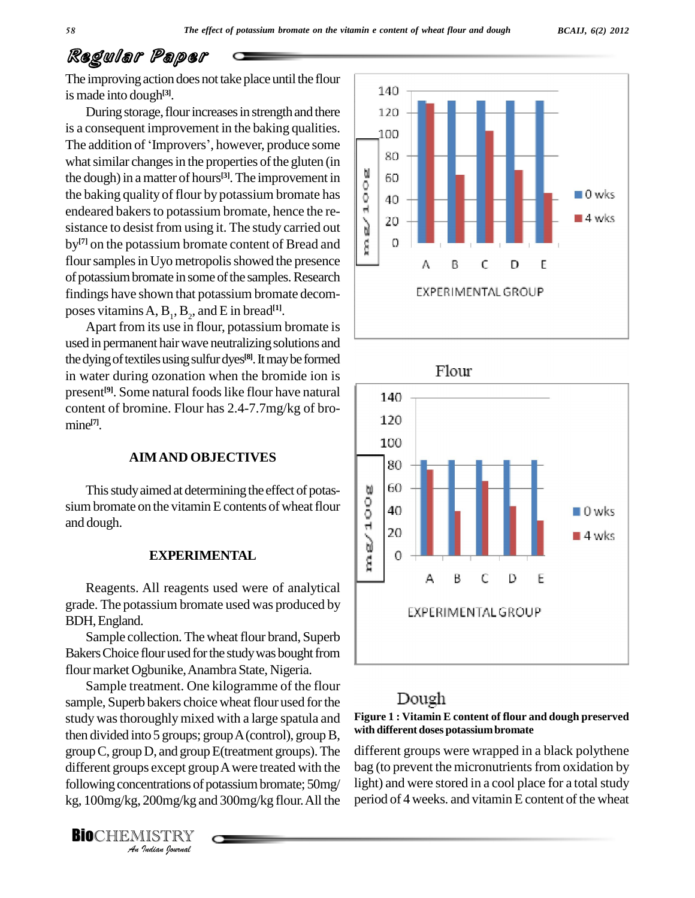# Regular Paper

The improving action does not take place until the flour is made into dough **[3]**.

During storage, flour increases in strength and there 120 is a consequent improvement in the baking qualities. During storage, flour increases in strength and there<br>is a consequent improvement in the baking qualities.<br>The addition of 'Improvers', however, produce some what similar changes in the properties of the gluten (in<br>the dough) in a matter of hours<sup>[3]</sup>. The improvement in<br>the baking quality of flour by potassium bromate has<br>endeared bakers to potassium bromate, hence the rethe dough) in a matter of hours<sup>[3]</sup>. The improvement in  $\|\cdot\|$  6 the baking quality of flour by potassium bromate has endeared bakers to potassium bromate, hence the re-<br>sistance to desist from using it. The study carried out<br>by<sup>[7]</sup> on the potassium bromate content of Bread and sistance to desist from using it. The study carried out by<sup>[7]</sup> on the potassium bromate content of Bread and  $\|\n\|\|$ flour samples in Uyo metropolis showed the presence of potassium bromate in some of the samples. Research findings have shown that potassium bromate decomposes vitamins  $A$ ,  $B_1$ ,  $B_2$ , and  $E$  in bread<sup>[1]</sup>.

Apart from its use in flour, potassium bromate is used in permanent hair wave neutralizing solutions and thedyingoftextilesusingsulfurdyes **[8]**.Itmaybeformed in water during ozonation when the bromide ion is present<sup>[9]</sup>. Some natural foods like flour have natural  $\parallel$ content of bromine. Flour has 2.4-7.7mg/kg of bro mine **[7]**.

#### **AIMAND OBJECTIVES**

This study aimed at determining the effect of potas-<br>m bromate on the vitamin E contents of wheat flour<br>dough.<br>**EXPERIMENTAL** sium bromate on the vitamin E contents of wheat flour and dough.

### **EXPERIMENTAL**

Reagents. All reagents used were of analytical grade. The potassium bromate used was produced by BDH,England.

Sample collection. The wheat flour brand, Superb Bakers Choice flour used for the study was bought from flour market Ogbunike, Anambra State, Nigeria.

group C, group D, and group E(treatment groups). The differ *In, and group*<br>*Indians* of *Journal*<br>200mg/kg and<br>*ISTRY*<br>*Indian Iournal* Sample treatment. One kilogramme of the flour sample, Superb bakers choice wheat flour used for the study wasthoroughlymixed with a large spatula and then divided into 5 groups; group  $A$  (control), group  $B$ , different groups except group A were treated with the bag (t following concentrations of potassium bromate; 50mg/ kg, 100mg/kg, 200mg/kg and 300mg/kg flour.All the

**BIO**CHEMISTRY





## Dough

### **Figure 1 : Vitamin E content of flour and dough preserved with different doses potassium bromate**

different groups were wrapped in a black polythene bag (to prevent the micronutrients from oxidation by light) and were stored in a cool place for a total study period of 4 weeks, and vitamin E content of the wheat